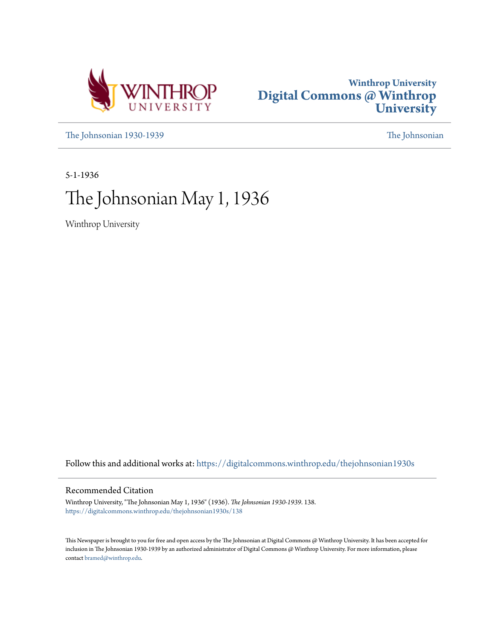



[The Johnsonian 1930-1939](https://digitalcommons.winthrop.edu/thejohnsonian1930s?utm_source=digitalcommons.winthrop.edu%2Fthejohnsonian1930s%2F138&utm_medium=PDF&utm_campaign=PDFCoverPages) [The Johnsonian](https://digitalcommons.winthrop.edu/thejohnsonian_newspaper?utm_source=digitalcommons.winthrop.edu%2Fthejohnsonian1930s%2F138&utm_medium=PDF&utm_campaign=PDFCoverPages)

5-1-1936

# The Johnsonian May 1, 1936

Winthrop University

Follow this and additional works at: [https://digitalcommons.winthrop.edu/thejohnsonian1930s](https://digitalcommons.winthrop.edu/thejohnsonian1930s?utm_source=digitalcommons.winthrop.edu%2Fthejohnsonian1930s%2F138&utm_medium=PDF&utm_campaign=PDFCoverPages)

### Recommended Citation

Winthrop University, "The Johnsonian May 1, 1936" (1936). *The Johnsonian 1930-1939*. 138. [https://digitalcommons.winthrop.edu/thejohnsonian1930s/138](https://digitalcommons.winthrop.edu/thejohnsonian1930s/138?utm_source=digitalcommons.winthrop.edu%2Fthejohnsonian1930s%2F138&utm_medium=PDF&utm_campaign=PDFCoverPages)

This Newspaper is brought to you for free and open access by the The Johnsonian at Digital Commons @ Winthrop University. It has been accepted for inclusion in The Johnsonian 1930-1939 by an authorized administrator of Digital Commons @ Winthrop University. For more information, please contact [bramed@winthrop.edu](mailto:bramed@winthrop.edu).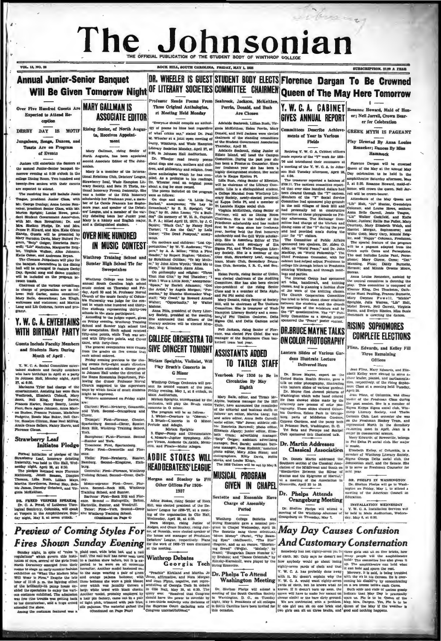## The Jol hnsonian

#### DR. WHEELER IS GUEST STUDENT BODY ELECTS Florence Dargan To Be Crowned **Annual Junior-Senior Banquet** Will Be Given Tomorrow Night<sup>OF LITERARY</sup> SOCIETIES COMMITTEE CHAIRMEN Queen of The May Here Tomorrow or Reads Poems From

Experied to Atland Recention

VOL. 13, NO. 26

DERBY DAY IS MOTIF Ris ers, Songs, Dances, and asts Are on Program

of Events

ors vill entertain the Se the annual Junior-Senior banquet toevening at 8:30 o'clock in the Mary is a member of the Inte

Shelton Phelps, Dr. and Mrs ues r. amarq, ann ann amarchuidheadh agus ann an Chaidh agus an Davis, Mary Budord Pe-<br>17 Herndon Davis, Mary Budord Pe-<br>17 Herndon Davis, Mary Budord Pe-<br>21 Herndon Mary Mary Albert, Albert Johnson, Christian Walter, Albe Virginia Walker, Alice John

The Clem on Jungaleers will play for a banquet. Decorations in the dining hall will be arranged to feature Derby<br>Day, Special song and dance number will be included on the prop ram be en toasta tuen of the various comm

in charge of preparation are as fol-<br>lows: Nell Carter, menu committee;<br>Mary Balle, decorations; Lou Elugh, d costumes; and Martin Lang and Lib Cothran, favors and pro-

### Y. W. C. A. ENTERTAINS WITH BIRTHDAY PARTY

sts Include Faculty Memb and Students Born During Month of April.

Y. W. C. A. Social Committee enter-<br>ained students and faculty members<br>tho have birthdays in April at a party<br>a Johnson Hall, Menday night, April at 8:3

known Hall, Monday ment, rever lowing the general to the supervisors<br> shannes Tyler had charge of the Church suggested to the supervisors<br> shannesh, Anishing her eers Gara might be increased on Friday Render<br> Area), Nell

#### **Strawberry Leaf**

Initiates Pledge Formal initiation of pledges of the

Formal miliaikon of piedges of the ences<br>started property Lead, honorary debuting Way and high Wed-Bank, weding the<br>sessing might, April 20, at 8:30. Burg The piedges initiated were Florence Core<br>technomy, Jenni Beanon, Di

 $\begin{minipage}[t]{.4cm} \textbf{W1} & \textbf{0} & \textbf{0} & \textbf{0} & \textbf{0} & \textbf{0} & \textbf{0} & \textbf{0} & \textbf{0} & \textbf{0} & \textbf{0} & \textbf{0} & \textbf{0} & \textbf{0} & \textbf{0} & \textbf{0} & \textbf{0} & \textbf{0} & \textbf{0} & \textbf{0} & \textbf{0} & \textbf{0} & \textbf{0} & \textbf{0} & \textbf{0} & \textbf{0} & \textbf{0} & \textbf{0} & \textbf{0} & \textbf$ Dr. C. A. Pr

 $\mathbf{a}$ l B at Verpers in the And day night, May 3, at

### Over Five Hundred Guests Are MARY GALLMAN IS **ASSOCIATE EDITOR**

ing Se alor, of North Aug. ta, Receives Appointment

Mary Gallman, rising Senior

forth Augusta, has been appointed associate Editor of The John

merow evening at 8:30 o'clock in the tama he as member of the Internace ordinal Relations Chin, Debater' Length, we capture the term of bundled end giraturery length of the second to attend. The received to a term of the

### **OVER NINE HUNDRED IN MUSIC CONTEST**

Winthrop Training School and Sumter High School Tie for Sweepstakes

be-<br>
winthrop College was host to the<br>
smuual Bouth Osrollins high school<br>
fol-<br>
day, April 33 and 24. Professor Norval<br>
tee;<br>
Church of the music faculty of Colum-<br>
tee,<br>
church of the music faculty of Columbeaution of the music lactury of commit-<br>test in which nine hundred and thirty-<br>five students representing thirty-two

**COLLEGE ORCHESTRA TO** 

**GIVE CONCERT TONIGHT** 

Miriam Speights, Violinial, Will

Winthrop College Orchestra will present its second concert of the year<br>Friday evening, May 1, at 8 o'clock, it<br>Main Auditorium,

Prid Main Auditorium, accompanied by the Schitzman Spechta, accompanied by the stellar stretch in O minor.<br>
Schieder in O minor.<br>
The program will be as follows:<br>
1. Weber—Owntrar to "Oberna"<br>
1. Weber—Owntrar to "Oberna"<br>
2. B

e: PLut-Piorence. So

Sa.cophe<br>Sumter Sasophone: Flas-Florence: Second-Burner and York.<br>Trombone: First, Spartanburg.<br>Plute: First-Greenville and Flo

nce.<br>| Violin: | Pirst--:Newberry,<br>Bamburg. | Second—| Eingstre Bamb<br>burg.

tralto: Ph st.Plo  $201.36$ **Training Sch** 

### **Preview of Coming Styles For Fires Shown Sunday Evening**

**EXECUTE A DEPARTING CONTRACT AND CONTRACT CONTRACT CONTRACT CONTRACT CONTRACT CONTRACT CONTRACT CONTRACT CONTRACT CONTRACT CONTRACT CONTRACT CONTRACT CONTRACT CONTRACT CONTRACT CONTRACT CONTRACT CONTRACT CONTRACT CONTRAC** 

Seabrook, Jackson, McKeit. Three Original Anthologies, Perrin, Donald, and Bush at Meeting Held Monday Are Chosen

rook, Lillian Bush, Vir

at Meeting Held Monday . Are Chosen<br>
"Terms and consider and distribution in the mean of the state of the state of the state of the state of the state of the state of the state of the state of the state of the state of th

b.<br>ell Jackson, rising Senior of Flor-<br>e. was elected Fire Chief. She was<br>nager of the Sophomore Class bas-<br>sail team hast year.

**ASSISTANTS ADDED** 

**Play Bruch's Concerto in** 

**G** Minor

**ADDIE STOKES WILL** 

Other Offices For 1936-1937

rg

**TO TATLER STAFF** Yearbook For 1936 to Be in Circulation By May

Eighth Mary Balle, editor, and Tirzah Mrsipine, business manager for the 1937<br>Tatler, have announced the remainder awer, may announce the editorial and business staffs at follows art editor, Martha Lang; fun and salire editor, Anna Belle Carroll; social editor, "Bia" Jones; athletic edi-

er, Henrietta Barnwell; photo editor,<br>iizabeth Algary; junior editor, Elizathe Crum; advertising manager.<br>ip" Geiger; assistant advertising<br>nager, Bert Barsh; assistant busi-

anager, Bert Barab; assistant busi-<br>as manager, Rose Rudnick; assistant<br>olo editor, Mary Allen Stone; and<br>nographers, Etity Davis, Nellie<br>rick, and Louise Klugh.<br>The 1935 Tatlers will be out by May 8.

**HEAD DEBATERS' LEAGUE MUSICAL PROGRAM** an and Stuckey to Fill GIVEN IN CHAPEL Sextette and Ensemble Have

**Charge of Assembly** Period

Addie Stokes, rising Senior of Hock<br>Hill, was elected president of the De-baters' League for 1936-'37, at a meeting of the organization in Cite Hall,<br>
Winkhrop College Suxtette and Norman, rising Junior of String Example gave a musical pro-<br>
Norma Morgan, rising Junior of String Example is ave a musical pro-<br>
Independent of the sta ing of the organisation in Cilo Hall, Wednesday, April 29, at 4:30.

Function Section as the section of the section and an energy in Bread in the section of the section of the section of the section of the section of the section of the section of the section of the section of the section o

Y. W. G. A. CABINET R. **GIVES ANNUAL REPORT** 

ON COLOR PHOTOGRAPHY

Lantern Slides of Various Gar dens Illustrate Lecture Delivered Here

Final Mary Edwards, and Etis-<br>
The several area Final Mary Edwards, and Etis-<br>
United States Realth Service, gove a ciner leader, planals, and parliamental<br>
United States Realth Service, gove a ciner leader, planals, and p

#### Dr. Martin Addresses Classical Association Etizabeth Eclier, of Columbia, is a

**Example 2014 CONSTANT (Example 2014)** [Example 2014] [Example 2014] **Example 2014 Example 2014 Constant 2014 Constant 2014 Constant 2014 Constant 2014 Constant 2014 Constant 2014 Constant 2014 Constant** 

#### Dr. Phelps Attends **Orangeburg Meeting**

Dr. Shelton Phelge will attend a V.W.C.A. Installation of the Winthrop Alumnae of the held in Maln Au Analysis of the held in Maln Au Analysis of Thursday, May 7.

Howard, Maid of Hon or; Nell Jarrell, Crown Bearer for Celebration

**IPTION, SLOB & VEAR** 

Committees Describe Achieve-GREEK MYTH IS PAGEANT

Play Directed By Anna Louis **Renneker: Dances By Miss** 

Hammack

re Dargan will be ero Queen of the May at the annual May on, April 28, Day celebration to be held in the atre Saturday afternoon, May 2, at 5:30, Rosanne Howard, mald will crown the qu n. Nell Jarrell will be crown-bea

num, an vocal and the May Queen and version of the May Queen and Louise Howen and Louise Howen and Louise Howen and Louise Howen and Louise Transportation and Louise Transportation of Colorating Transportation of the Horse

From Louise Renneher, assisted by<br>
Ann Louise Renneher, assisted by<br>
Ahe central committee is directing the<br>
plus. This committee is composed of<br>
Eleanor King, Dot Theachton, Cath-<br>
Eleanor King, Dot Theachton, Cath-<br>
Mar

### **RISING SOPHOMORES COMPLETE ELECTIONS**

Flinn, Edwards, and Kelley Fill Three Remaining Offices

Jean Flinn, Mary Edwards, and Elisabeth Kelley were elected to serve an cher-pleader, planals, and partiamenta-<br>tion, respectively. of the rising Sophonenia-<br>tion, respectively. of the rising Sophonenic Class at a meeting

occup attenty society, and Thalla<br>
German Club. Last seneste the was<br>
represented North in the domalizer<br>
represented North in the domalizer<br>
swamming meet in April. Jean is a<br>
Mary Edwards, of Rowesville, belongs<br>
Mary Ed

to Phi Delta Pi social club. Her major

Dr. Shelton Phelps will go to Wash-<br>ington on Friday, May L to attend a

INSTALLATION WEDNESDAY nstallation Services will<br>a Auditorium, Wednes-

n of the

### May Day Causes Confusion **And Customary Consternation**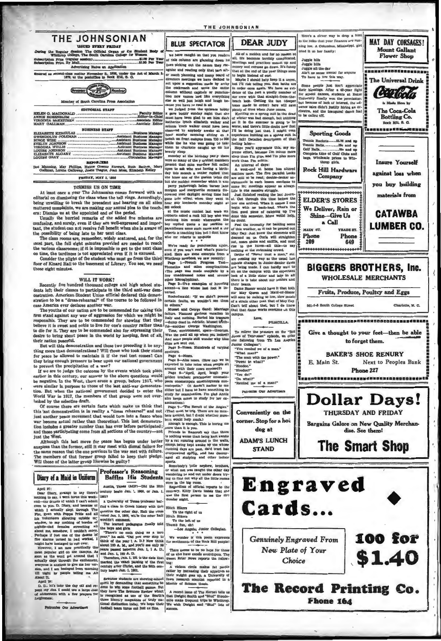#### THE JOHNSONIAN **JASHED EVERY FRIDAY**

ssion The Official Organ of the 8 ng the Regular Se ion Price (regular<br>ion Price, By Mail \$1.00 Per Ye

tes on App ered as second-class matter November 21, 1928, under the Act of March 3, 1879, at the postoffice in Rock Hull, S. G.



|  | <b>REPORTER</b> |                                                                        |  |
|--|-----------------|------------------------------------------------------------------------|--|
|  |                 | <b>BRIDGE CONTINUES AND CONTINUES IN THE REAL PROPERTY AND INCOME.</b> |  |

st Manning, May Phillips, Hattle Greens Etswart, Ruth Bethes, N. Gallman, Lorens Galloway, Jean's Trague, Jean Mosa, Elizabeth Kelley. FRIDAY, MAY 1, 1930

#### DIRMIRS IIS ON TIME

At least once a year The Johnsonian comes forward with an editorial on dismissing the class when the bell rings. Accordingly, eutorial on dismassing the class when the bullenge. Accordingly<br>being unwilling to break the precedent and hearing on all sides<br>muttered complaints, we are making our annual plea to the teach<br>ers: Dismass us at the appoint

confusing, and surely, even if they are well-expressed and impor-

confusing, and surely, even if they are well-expressed and important, the student can not receive full benefit when ahe is aware of the possibility of being late to her next class.<br>The class comes are, remember, widely sc

those eight minutes

WILL IT WORK?<br>Recently five hundred thousand college and high school stunecessary are numero interesting to participate in the third anti-war demonstration. American Student Union official declared this demonstration to be a "dress-rehearsal" of the course to be followed in case America ever declares another war.<br>The youths of our nation are to be con

states America ever declares another war.<br>
The youth of the same and corresponding that the product of the commented for taking this husest and George Sand: Marriage firm stand against any war of aggression for which we m believe it is aweet and notice to ure not once to unuse the community of the control of the control of the top of the control of the control of the control of the control of the control of the control of the control of the their nation peaceful.

But will this demonstration and those two preceding it be any-<br>thing more than demonstrations? Will those who took their stand<br>for peace be allowed to maintain it if the real test comes? Can they bring enough pressure to bear upon our national government<br>to prevent the precipitation of a war?

If we are to judge the outcome by the events which took place<br>earlier in this century, our answer to the above questions would<br>be negative. In the West, there are a group, before 1917, who were similar in purpose to those of the last anti-war demonstration. But when the national government decided to enter the World War in 1917, the members of that group were not over-

orded by the selective draft. Of course there are certain facts which make us think that this last demonstration is in reality a "dress rehearsal" and not sing and the peace movement that would turn into a fiasco when year became actual rather than theoretical. This last demonstration includes a greater number than has ever before participated; and those participating come from all sections of the country-not just the West.

Although this last move for peace has begun under better auspices than the former, still it may meet with dismal failure for the same reason that the one previous to the war met with failure. The members of that former group falled to keep their piedge.<br>Will those of the latter group likewise be guilty?

#### Diary of a Maid in Uniform

April 27:<br>Dear Dis April 37:1<br>
April 37:1<br>
Apple 19:1 and the search of the search of the search of the search of the search of the search of the search of the search of the search of the search of the search of the search of the search of irv, strange to say there

April 22:<br>
D. D., let's take the day off and repeat my dus. I could use a large dost<br>
of atonement with a few prayers for

Patronie Our Advertisers

#### Professor's Reasoning Baffles His Students

Austin, Texas (ACP)-Did the 20th begin Jan. 1, 1900, or Jan. 1,

Sewanee students are aboveing echool , town research echenists reported in the potentiality that constants to Maxier of Science their layer and done to the non-state of the main of the polarity of the students of the stre

THE JOHNSONIAN

 $We're ready for punctuation. graiv, and we've read if you work read. Here we are some extremely. It is called. Here we can be correctly a from a function. What through you have a new recently. From the page  $u$ —Hremel, we have completed a code of the page  $u$  and a coveral of the page  $u$  and a complex list of the page  $u$  and a vertexal of the three hypothesis.$ 

other hieroglyphics).<br>Page 2-Tao examples of hovering<br>accent-a line when

teu.<br>tochefocauld: "If we didn't posses:<br>tain faults, we wouldn't see them

slips are sent out.<br>Page 3-Noses. es. Hundrøds of varying

Page 4-Noses.<br>Page 5-Also noses. (How can we be xpected to take notes when people sit Page 6-"April, April, laugh your

Page 6-April, April, hangh your postmates<br>poide nonmatopede anomatopedia onomatoped anomatoped submatter to me<br>matoped:." (It doesn't matter to me<br>either but I have to have something to<br>study for examination. I'm glad Ann

aminations.<br>
Page 7—The Revolt of the Angles."<br>
(That must be trig. There are no numbers around, but I doubt whether num-<br>
bers would help much.)<br>
Discussions that is position and the stress of more than it is you.

more than it is you. The same of any that there is nothing worse than being kept awake by a same property being the property being the expect being the same of comparison of our property comparison of comparison of compar

ports.<br>
Bomebody's little nephew, hrobers, and the solar day<br>
Bomebody's little nephews awaited the other day<br>
randomizing in and out why all the little rooms<br>
were in the big room.<br>
Flegendless of official reports to the<br>

reports the following control of the following the following their reduction and the appellies and flow research control in the Marshy of Below the spectra control of the material of the spectra control of the spectra of t



Shine Give Us a Call

601-3-8 South College Street

E. Main St.

**YRADE ST.** 

Phone

649

**BIGGERS BROTHERS, Inc.** 

**WHOLESALE MERCHANTS** 

Fruits, Produce, Poultry and Eggs

Give a thought to your feet-then be able

to forget them.

**BAKER'S SHOE RENURY** 

**Phone 227** 

**Dollar Days!** 

THURSDAY AND FRIDAY

Bargains Galore on New Quality Merchan-

dise. See them!

**The Smart Shop** 

MAIN ST.

Phone

209

**Mount Gallant** 

**Flower Shop** 

CETIGAN

The Coca-Cola

**Bottling Co.** 

Rock Hill, S. G.

**Insure Yourself** 

materials from

**CATAWBA** 

**LUMBER CO.** 

Charlotte, N. C.

Next to Peoples Bank

100 for

\$1.40

122858280223

Love, **PRISCHAA** 

re on ti To rel re the pro Junes of Tenrossee" episode, we offer<br>the following trom Th Los Angeles<br>Junior Collegian": "You remind me of a me

What m in with the power."<br>to what?" "The n "Power to<br>"Hoodoo." "Hoodoo?<br>"You do!

"Do what?" mind me of a man!"

Patronise Our Adver

Conveniently on the corner. Stop for a hot



**STAND** 



**Genuinely Engraved From** New Plate of Your Choice

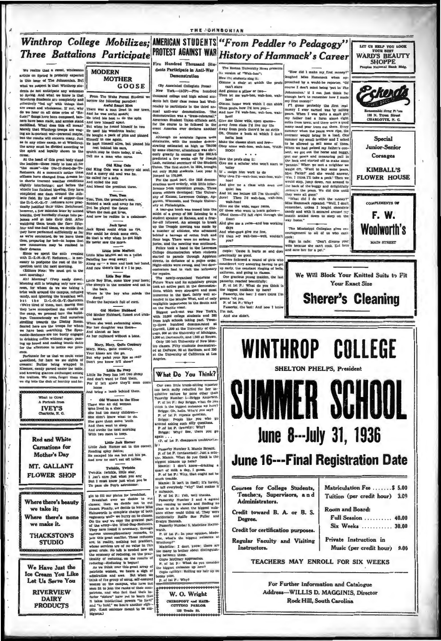#### Winthrop College Mobilizes; AMERICAN STUDENTS "From Peddler to Pedagogy" LET US HELP YOU LOOK PROTEST AGAINST WAR History of Hammack's Career **Three Battalions Participate WARD'S BEAUTY** SHOPPE Five Hundred Thousand Stu The Boston University News presents dents Participate in Anti-War We realize that a great wholesome **MODERN** "How did I make my first an version of "Wah-hoo": article on Spring is probably expected **Demonstration** laughed Miss sack when ap-**MOTHER** How the students sing it: in this issue of The Johnsonian, But proached by a would-be reporter. "Of ne a chair at which the people at we suspect is that Winthrop stu-GOOSE (By Associated Collegiate Press) can't stare course I don't mind being 'put in The state the angles of anticipate any welcomes<br>to Spring. And what we know is that<br>Winthrop Students are completely and<br>effectively "red up" with things that<br>are sweet and wholesome. If not, why 7 can't stare<br>And gimme a pillow or two--<br>Then let me wah-hoo, wah-hoo, wahdents do not anticipate any welcomes!<br>The Water spin of the Syrian And what we know is fourier to Syrian. And when the completely and horrow the foul<br>owns paradise; effectively vield up" with things that  $\frac{1}{2}$ <br>with th New York-(AOP)-Pive hundred Johnsonian.' If I can just think far<br>enough back to remember how I made housand college and high school students left their class rooms last Wed hool enougn new to remember how I made<br>my first romey!"<br>  $f''1$  guess probably the first real<br>money I ever earned was by selling<br>pears. When I was quite a small girl<br>
my father had a farm about eight<br>
miles from town, and there Gimms home work which I can shirk tenday to participate in the third an Then profs, how I'd love you-<br>And how I'd wah-hoo, wah-hoo, wahto participate in the third an-<br>nuti-war demonstration. The<br>tration was a "dress-rehearsal,"<br>an Student Union officials said,<br>course to be followed in the<br>America ever declares another And h 138 N. Tryen Street minis from tates the spear of the verte a good<br>many mand pear trees out there are order and pear trees out there. Every<br>contener which contener the spear weight of the spear with the spear of the<br>summer of the spear of th nany sand pear trees out there. E war,<br>
although no accurate figures were obtainable, with he uniform<br>the although no accurate figures were obtaining estimated as high as 756,000<br>starting estimated as high as 756,000 outly greatly in access of the 380,000 hefta look<br>Make the classes short and fewby some wah-hoo, wah-hoo, WAH-HOO! Junior-Senior the spirit and loyalty shown to use Which may or user wear, a mean who cares and or this head of this peak body stand Tell me a mass with the leaders—those rated by the single pole was a marry oid a Reflect<br>the leaders—th How the profs sing it:<br>Oive me a scholar who won't start to holler<br>If a assign him work to do Why then I'd-wah-hoo, wah-hoo, wahhoo! And give me a class with even one Ann give seen<br>And let me lecture till I'm through;<br>Jove! Then I'd wah-hoo, wah-hoo, Jove! Then I'd wah-hoo, www.h-hoo! Give me the wide, enger faces, Of those who want to learn galore-<br>(Pind them--I'll fall right through the nowever, a rew numutes seter by second<br>breaths, they hurriedly clumps into pa-<br>jamas and go into their drill. After<br>watching them touch the floor fiftyfloor)<br>And give me a raim-and less working Jack Sprat<br>Jack Sprat<br>Nor could drink no rye,<br>No that is why when he got high<br>BE never saw the morn. The Mississippi Collegian gives en-<br>couragement to all of us who can't four and one-half times, we decide that days Four and one-half times, we decide that<br>they have performed sufficiently at far<br>as we're concerned. So we leave them<br>thus, preparing for bed—in hopes that<br>now manuovers may be realised in<br>their dreams. And what-guys give me few,<br>I'd then any weh-hoo--well, wouldn't couragement to all of us who can't<br>cook:<br>Blgm in cafe: "Don't divarce you!<br>wife because she can't cook. Eat here<br>and save her for a pet." you? are inizinates may see related in the control of the Miss Marffeld<br>what dreams. The control of the state of the state of the state state<br>with D.-C-Nt-B.-F. Neducarn, . is nec-<br>paleting her may away: cannot no posity<br>no th Copie: 'Cause it hurts so and does ractically no go There followed a round of girls who considered very annong a round or great wind<br>considered very annoying having to get<br>up early, the constant ringing of bells,<br>uniforms, and going to cleases.<br>One gracious young maiden, the last<br>passerby, reacted beautifully spection until the next morning.<br>(Editors Note: We must get to the spectra matrix (see the spectrum). The spectrum of the spectrum of the spectrum of the spectrum of the matrix and the spectrum of the spectrum of the spectrum of the spectrum of the spectrum of the spectrum of the spectru We Will Block Your Knitted Suits to Fit Your Evect Size P. of 1st P.: What do you think is<br>the biggest nutsiance up here? the biggest nutsiance up here?<br>Passerby, the last: I don't think I'm ouna 'ell you.<br>P. of 1st P.: Why? erby, the last: And now 1 by  $\dddot{\bullet}$ I'm not And she didn't **WINTHROP COLLEGE**

Portunate for us that we could enter orname for has we count and the state of treators. Surface, for hard we see aights of treators. But<br>the state of treators. But<br>for being wrapped in Kleenex, candy parsed under the table,<br>and knowing glances exchanged among the traitors. We seen, forget them as<br>we dig into the dish of hominy and be-



We Have Just the Ice Cream You Like Let Us Serve You

> **RIVERVIEW DAIRY PRODUCTS**

Mary, Mary, Quite Contrary<br>Mary, Mary, quite contrary,<br>Your kisses are the go,<br>Dout why palat your lips so red?<br>Don't you know 1911 abow?

 $Little Bo\text{ keep}$  <br> Little Eo Peep has lost two sheep And don't want to find them,<br> For if left alone they'll soon a

home<br>And bring a lamb behind them

Little Jack Horner<br>Little Jack Horner sat in the cor<br>Reading spicy fables;<br>He escaped his ma but not his pa<br>And new he can't eat off tables.

Twinkle, Twinkle<br>Twinkle twinkle, little star,<br>I lon't circ just what you are;<br>But I must know just what you be<br>To pass ole Pop's astronomy.

gin to fill our plates for breakfast.<br>
Insensities over we decide to catcher consistence: then we decide to the cut<br>
classes: PhaBla very decide to leve Miss (where Miss PhaBla<br>
reduced to leve the breakfast of the plates They have joining it previously unionally remains the paint of the previous political property of the previous whose active and the previous whose activities are of no value in this great crisis. No talk is needed now on

whose services are on an variable and the constraints of the second service free constructions of reducing a method of the second service constraints of the second of the second service of the second service constraints an



Our own initia trunk-sitting reporter<br>can be considered for her under the second property Numbert-1...<br>The property of the property of the second property of the property of<br>the second property of the second property of t

(P. of Lat P. disappears unobtrustve

Iy) <br>
Basserby Number 2, Mamie Bryant.<br>
P. of Lst P. (undatured): Just a min-<br>
nuc, Mamie. Whet do you think is the<br>
biggest mission up here?<br>
Mamie: I don't know-drinking a<br>
Mamie: I don't know-drinking a<br>
P. of thilk a

nuch trouble.<br>Mamie: It lan't in itself; it's having<br>o tell everybody "why" that makes it

o missacce.<br>
P. of Its P.: Yeb, well thanks.<br>
Passersby Number 3 and 4 agreed<br>
that coming to meals and finding no<br>place to att is about the biggest nuis-<br>
place to att is about the biggest nuis-<br>
meteorithily Paline Sue<br>

ance<br>incidentali<br>Evalyn H Hannah.<br>erby Number 5, Madeline Hayns-

Evalyn Hannah.<br>
Franserby Number 8, Madeline Hayns-<br>
"Pooth. It is P.: In your opinion, Madeline.<br>
The of lat P.: In your opinion, Madeline.<br>
"Mindrighe: I don't know there are<br>
"Mindrighe: I don't know there are<br>
tog net Copie McCrary approaches.<br>P. of 1st P.: What do you consider

the biggest nuisance up here?<br>Copie (glibly): Rolling my hair up on

bobby pins.<br>P. of 1st P.: Why?

W. O. Wright CHIBOPODY and HAIR-<br>CUTTING PARLOR

133 Trade St.

Pekerdi

Special

Corsages

**FLOWER HOUSE** 

COMPLIMENTS OF F. W.

**Sherer's Cleaning** 

Matriculation Fee ....... \$ 5.00

Tuition (per credit hour) 3.09

Full Session ......... 40.00

Six Weeks .......... 30.00

Music (per credit hour) 9.00

Room and Board:

Private Instruction in

# **SHELTON PHELPS, President SUMMER SCHI** June 8---July 31, 1936 **June 16---Final Registration Date**

Courses for College Students, Teachers, Supervisors, and Administrators. Credit toward B. A. or B. S.

Degree.

Credit for certification purposes.

**Regular Faculty and Visiting** Instructors.

TEACHERS MAY ENROLL FOR SIX WEEKS

For Further Information and Catalogue Address-WILLIS D. MAGGINIS. Director **Rock Hill, South Carolina**